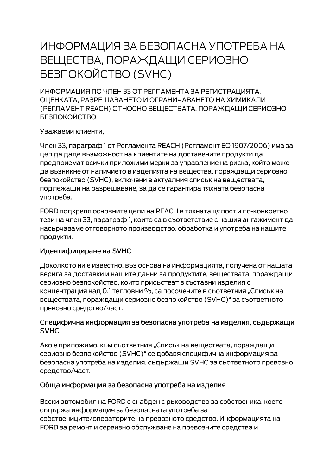# ИНФОРМАЦИЯ ЗА БЕЗОПАСНА УПОТРЕБА НА ВЕЩЕСТВА, ПОРАЖДАЩИ СЕРИОЗНО **БЕЗПОКОЙСТВО (SVHC)**

ИНФОРМАЦИЯ ПО ЧЛЕН 33 ОТ РЕГЛАМЕНТА ЗА РЕГИСТРАЦИЯТА. ОЦЕНКАТА, РАЗРЕШАВАНЕТО И ОГРАНИЧАВАНЕТО НА ХИМИКАЛИ (РЕГЛАМЕНТ REACH) ОТНОСНО ВЕЩЕСТВАТА, ПОРАЖДАЩИ СЕРИОЗНО **БЕЗПОКОЙСТВО** 

Уважаеми клиенти,

Член 33, параграф 1 от Регламента REACH (Регламент ЕО 1907/2006) има за цел да даде възможност на клиентите на доставените продукти да предприемат всички приложими мерки за управление на риска, който може да възникне от наличието в изделията на вещества, пораждащи сериозно безпокойство (SVHC), включени в актуалния списък на веществата, подлежащи на разрешаване, за да се гарантира тяхната безопасна употреба.

FORD подкрепя основните цели на REACH в тяхната цялост и по-конкретно тези на член 33, параграф 1, които са в съответствие с нашия ангажимент да насърчаваме отговорното производство, обработка и употреба на нашите продукти.

#### Идентифициране на SVHC

Доколкото ни е известно, въз основа на информацията, получена от нашата верига за доставки и нашите данни за продуктите, веществата, пораждащи сериозно безпокойство, които присъстват в съставни изделия с концентрация над 0,1 тегловни %, са посочените в съответния "Списък на веществата, пораждащи сериозно безпокойство (SVHC)" за съответното превозно средство/част.

#### Специфична информация за безопасна употреба на изделия, съдържащи **SVHC**

Ако е приложимо, към съответния "Списък на веществата, пораждащи сериозно безпокойство (SVHC)" се добавя специфична информация за безопасна употреба на изделия, съдържащи SVHC за съответното превозно средство/част.

#### Обща информация за безопасна употреба на изделия

Всеки автомобил на FORD е снабден с ръководство за собственика, което съдържа информация за безопасната употреба за собствениците/операторите на превозното средство. Информацията на FORD за ремонт и сервизно обслужване на превозните средства и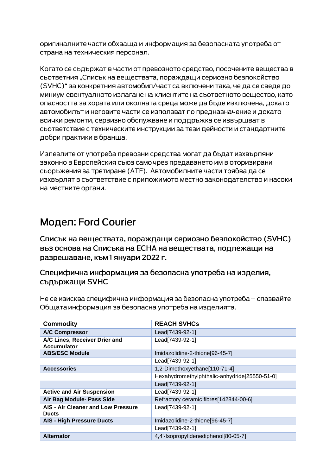оригиналните части обхваща и информация за безопасната употреба от страна на техническия персонал.

Когато се съдържат в части от превозното средство, посочените вещества в съответния "Списък на веществата, пораждащи сериозно безпокойство (SVHC)" за конкретния автомобил/част са включени така, че да се сведе до миниум евентуалното излагане на клиентите на съответното вещество, като опасността за хората или околната среда може да бъде изключена, докато автомобилът и неговите части се използват по предназначение и докато всички ремонти, сервизно обслужване и поддръжка се извършват в съответствие с техническите инструкции за тези дейности и стандартните добри практики в бранша.

Излезлите от употреба превозни средства могат да бъдат изхвърляни законно в Европейския съюз само чрез предаването им в оторизирани сьоръжения за третиране (АТЕ). Автомобилните части трябва да се изхвърлят в съответствие с приложимото местно законодателство и насоки на местните органи.

## Модел: Ford Courier

Списък на веществата, пораждащи сериозно безпокойство (SVHC) въз основа на Списъка на ЕСНА на веществата, подлежащи на разрешаване, към 1 януари 2022 г.

### Специфична информация за безопасна употреба на изделия, съдържащи SVHC

Не се изисква специфична информация за безопасна употреба – спазвайте Общата информация за безопасна употреба на изделията.

| <b>Commodity</b>                                    | <b>REACH SVHCs</b>                            |
|-----------------------------------------------------|-----------------------------------------------|
| <b>A/C Compressor</b>                               | Lead[7439-92-1]                               |
| A/C Lines, Receiver Drier and<br><b>Accumulator</b> | Lead[7439-92-1]                               |
| <b>ABS/ESC Module</b>                               | Imidazolidine-2-thione[96-45-7]               |
|                                                     | Lead[7439-92-1]                               |
| <b>Accessories</b>                                  | 1,2-Dimethoxyethane[110-71-4]                 |
|                                                     | Hexahydromethylphthalic-anhydride[25550-51-0] |
|                                                     | Lead[7439-92-1]                               |
| <b>Active and Air Suspension</b>                    | Lead[7439-92-1]                               |
| Air Bag Module- Pass Side                           | Refractory ceramic fibres[142844-00-6]        |
| AIS - Air Cleaner and Low Pressure<br><b>Ducts</b>  | Lead[7439-92-1]                               |
| <b>AIS - High Pressure Ducts</b>                    | Imidazolidine-2-thione[96-45-7]               |
|                                                     | Lead[7439-92-1]                               |
| <b>Alternator</b>                                   | 4,4'-Isopropylidenediphenol[80-05-7]          |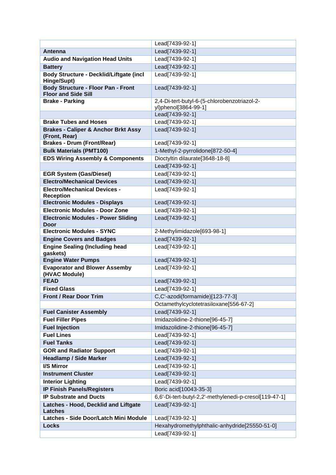|                                                                         | Lead[7439-92-1]                                        |
|-------------------------------------------------------------------------|--------------------------------------------------------|
| <b>Antenna</b>                                                          | Lead[7439-92-1]                                        |
| <b>Audio and Navigation Head Units</b>                                  | Lead[7439-92-1]                                        |
| <b>Battery</b>                                                          | Lead[7439-92-1]                                        |
| <b>Body Structure - Decklid/Liftgate (incl</b><br>Hinge/Supt)           | Lead[7439-92-1]                                        |
| <b>Body Structure - Floor Pan - Front</b><br><b>Floor and Side Sill</b> | Lead[7439-92-1]                                        |
| <b>Brake - Parking</b>                                                  | 2,4-Di-tert-butyl-6-(5-chlorobenzotriazol-2-           |
|                                                                         | yl)phenol[3864-99-1]                                   |
|                                                                         | Lead[7439-92-1]                                        |
| <b>Brake Tubes and Hoses</b>                                            | Lead[7439-92-1]                                        |
| <b>Brakes - Caliper &amp; Anchor Brkt Assy</b><br>(Front, Rear)         | Lead[7439-92-1]                                        |
| <b>Brakes - Drum (Front/Rear)</b>                                       | Lead[7439-92-1]                                        |
| <b>Bulk Materials (PMT100)</b>                                          | 1-Methyl-2-pyrrolidone[872-50-4]                       |
| <b>EDS Wiring Assembly &amp; Components</b>                             | Dioctyltin dilaurate[3648-18-8]                        |
|                                                                         | Lead[7439-92-1]                                        |
| <b>EGR System (Gas/Diesel)</b>                                          | Lead[7439-92-1]                                        |
| <b>Electro/Mechanical Devices</b>                                       | Lead[7439-92-1]                                        |
| <b>Electro/Mechanical Devices -</b><br><b>Reception</b>                 | Lead[7439-92-1]                                        |
| <b>Electronic Modules - Displays</b>                                    | Lead[7439-92-1]                                        |
| <b>Electronic Modules - Door Zone</b>                                   | Lead[7439-92-1]                                        |
| <b>Electronic Modules - Power Sliding</b><br><b>Door</b>                | Lead[7439-92-1]                                        |
| <b>Electronic Modules - SYNC</b>                                        | 2-Methylimidazole[693-98-1]                            |
| <b>Engine Covers and Badges</b>                                         | Lead[7439-92-1]                                        |
| <b>Engine Sealing (Including head</b><br>gaskets)                       | Lead[7439-92-1]                                        |
| <b>Engine Water Pumps</b>                                               | Lead[7439-92-1]                                        |
| <b>Evaporator and Blower Assemby</b><br>(HVAC Module)                   | Lead[7439-92-1]                                        |
| <b>FEAD</b>                                                             | Lead[7439-92-1]                                        |
| <b>Fixed Glass</b>                                                      | Lead[7439-92-1]                                        |
| <b>Front / Rear Door Trim</b>                                           | C,C'-azodi(formamide)[123-77-3]                        |
|                                                                         | Octamethylcyclotetrasiloxane[556-67-2]                 |
| <b>Fuel Canister Assembly</b>                                           | Lead[7439-92-1]                                        |
| <b>Fuel Filler Pipes</b>                                                | Imidazolidine-2-thione[96-45-7]                        |
| <b>Fuel Injection</b>                                                   | Imidazolidine-2-thione[96-45-7]                        |
| <b>Fuel Lines</b>                                                       | Lead[7439-92-1]                                        |
| <b>Fuel Tanks</b>                                                       | Lead[7439-92-1]                                        |
| <b>GOR and Radiator Support</b>                                         | Lead[7439-92-1]                                        |
| <b>Headlamp / Side Marker</b>                                           | Lead[7439-92-1]                                        |
| I/S Mirror                                                              | Lead[7439-92-1]                                        |
| <b>Instrument Cluster</b>                                               | Lead[7439-92-1]                                        |
| <b>Interior Lighting</b>                                                | Lead[7439-92-1]                                        |
| <b>IP Finish Panels/Registers</b>                                       | Boric acid[10043-35-3]                                 |
| <b>IP Substrate and Ducts</b>                                           | 6,6'-Di-tert-butyl-2,2'-methylenedi-p-cresol[119-47-1] |
| Latches - Hood, Decklid and Liftgate<br><b>Latches</b>                  | Lead[7439-92-1]                                        |
| Latches - Side Door/Latch Mini Module                                   | Lead[7439-92-1]                                        |
| <b>Locks</b>                                                            | Hexahydromethylphthalic-anhydride[25550-51-0]          |
|                                                                         | Lead[7439-92-1]                                        |